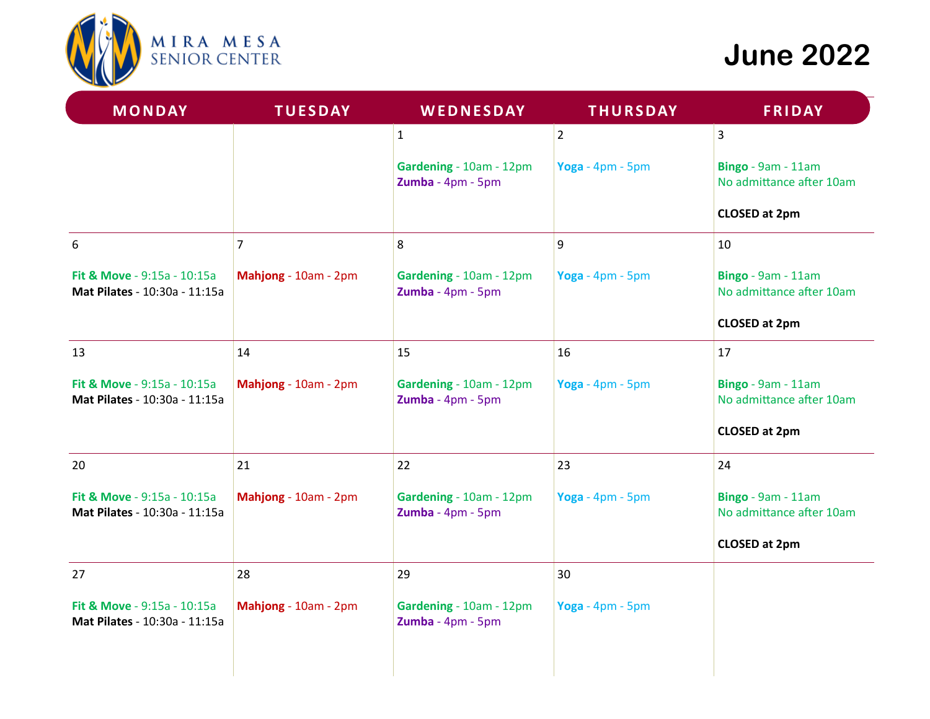

# **June 2022**

| <b>TUESDAY</b>                                                                                  | WEDNESDAY                                    | <b>THURSDAY</b>  | <b>FRIDAY</b>                                  |
|-------------------------------------------------------------------------------------------------|----------------------------------------------|------------------|------------------------------------------------|
|                                                                                                 | $\mathbf{1}$                                 | $ 2\rangle$      | $\overline{3}$                                 |
|                                                                                                 | Gardening - 10am - 12pm<br>Zumba - 4pm - 5pm | Yoga - 4pm - 5pm | Bingo - 9am - 11am<br>No admittance after 10am |
|                                                                                                 |                                              |                  | <b>CLOSED at 2pm</b>                           |
| $\overline{7}$                                                                                  | 8                                            | 9                | 10                                             |
| Mahjong - 10am - 2pm<br><b>Fit &amp; Move - 9:15a - 10:15a</b><br>Mat Pilates - 10:30a - 11:15a | Gardening - 10am - 12pm<br>Zumba - 4pm - 5pm | Yoga - 4pm - 5pm | Bingo - 9am - 11am<br>No admittance after 10am |
|                                                                                                 |                                              |                  | <b>CLOSED at 2pm</b>                           |
| 14                                                                                              | 15                                           | 16               | 17                                             |
| Fit & Move - 9:15a - 10:15a<br>Mahjong - 10am - 2pm<br>Mat Pilates - 10:30a - 11:15a            | Gardening - 10am - 12pm<br>Zumba - 4pm - 5pm | Yoga - 4pm - 5pm | Bingo - 9am - 11am<br>No admittance after 10am |
|                                                                                                 |                                              |                  | <b>CLOSED at 2pm</b>                           |
| 21                                                                                              | 22                                           | 23               | 24                                             |
| Fit & Move - 9:15a - 10:15a<br>Mahjong - 10am - 2pm<br>Mat Pilates - 10:30a - 11:15a            | Gardening - 10am - 12pm<br>Zumba - 4pm - 5pm | Yoga - 4pm - 5pm | Bingo - 9am - 11am<br>No admittance after 10am |
|                                                                                                 |                                              |                  | <b>CLOSED at 2pm</b>                           |
| 28                                                                                              | 29                                           | 30               |                                                |
| Mahjong - 10am - 2pm                                                                            | Gardening - 10am - 12pm<br>Zumba - 4pm - 5pm | Yoga - 4pm - 5pm |                                                |
|                                                                                                 |                                              |                  |                                                |